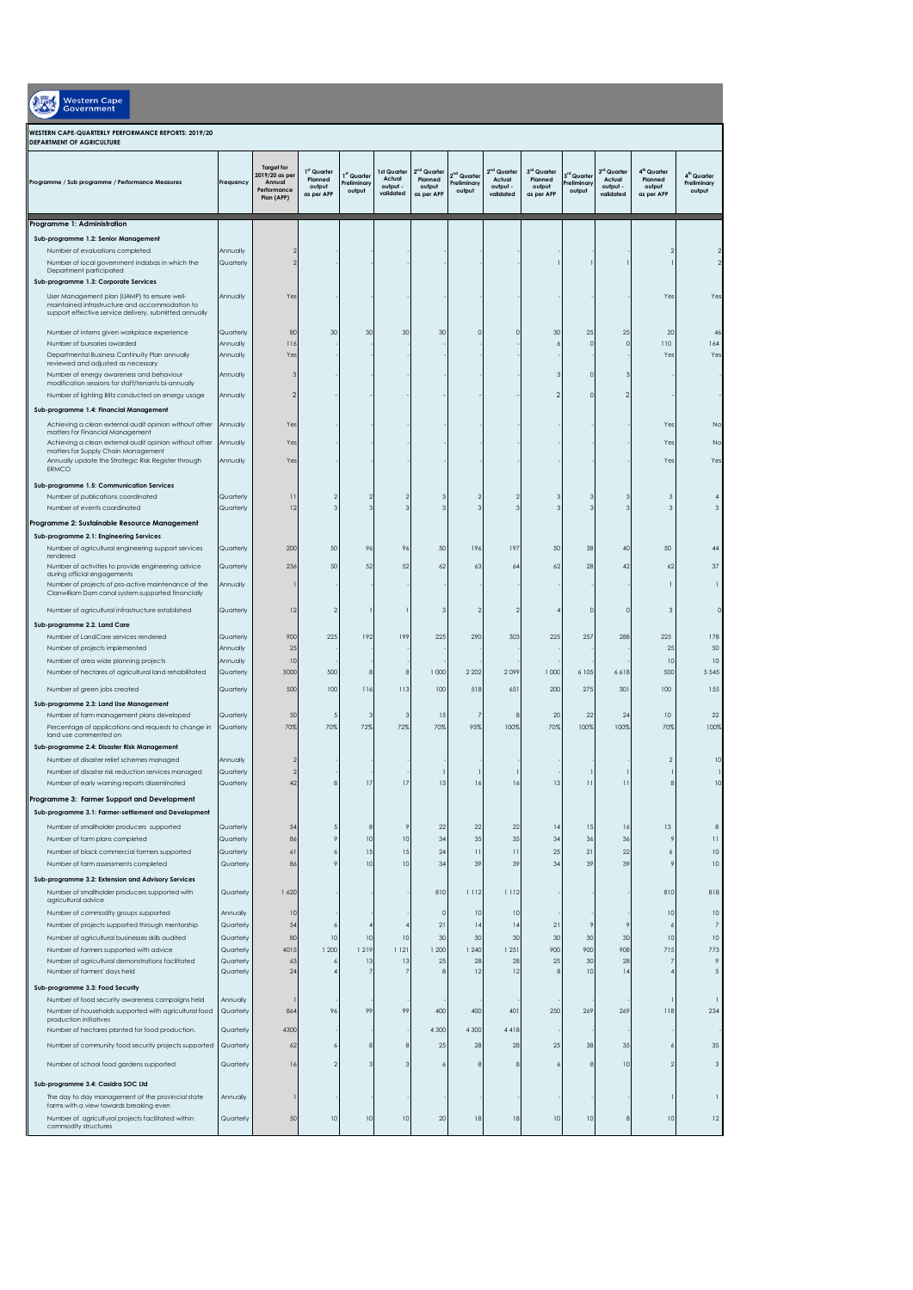| <b>Western Cape</b><br><b>Government</b>                                                                                                                                                         |                        |                                                                            |                                                |                                     |                                                |                                                            |                                                  |                                                            |                                                |                                     |                                                            |                                                            |                                                  |
|--------------------------------------------------------------------------------------------------------------------------------------------------------------------------------------------------|------------------------|----------------------------------------------------------------------------|------------------------------------------------|-------------------------------------|------------------------------------------------|------------------------------------------------------------|--------------------------------------------------|------------------------------------------------------------|------------------------------------------------|-------------------------------------|------------------------------------------------------------|------------------------------------------------------------|--------------------------------------------------|
| WESTERN CAPE-QUARTERLY PERFORMANCE REPORTS: 2019/20<br><b>DEPARTMENT OF AGRICULTURE</b>                                                                                                          |                        |                                                                            |                                                |                                     |                                                |                                                            |                                                  |                                                            |                                                |                                     |                                                            |                                                            |                                                  |
| Programme / Sub programme / Performance Measures                                                                                                                                                 | Frequency              | <b>Target for</b><br>2019/20 as per<br>Annual<br>Performance<br>Plan (APP) | 1st Quarter<br>Planned<br>output<br>as per APP | 1st Quarter<br>Preliminar<br>output | 1st Quarter<br>Actual<br>output -<br>validated | 2 <sup>nd</sup> Quarter<br>Planned<br>output<br>as per APP | 2 <sup>nd</sup> Quarter<br>Preliminary<br>output | 2 <sup>nd</sup> Quarter<br>Actual<br>output -<br>validated | 3rd Quarter<br>Planned<br>output<br>as per APP | 3rd Quarter<br>reliminary<br>output | 3 <sup>rd</sup> Quarter<br>Actual<br>output -<br>validated | 4 <sup>th</sup> Quarter<br>Planned<br>output<br>as per APP | 4 <sup>th</sup> Quarter<br>Preliminary<br>output |
| Programme 1: Administration                                                                                                                                                                      |                        |                                                                            |                                                |                                     |                                                |                                                            |                                                  |                                                            |                                                |                                     |                                                            |                                                            |                                                  |
| Sub-programme 1.2: Senior Management                                                                                                                                                             |                        |                                                                            |                                                |                                     |                                                |                                                            |                                                  |                                                            |                                                |                                     |                                                            |                                                            |                                                  |
| Number of evaluations completed<br>Number of local government indabas in which the<br>Department participated                                                                                    | Annually<br>Quarterly  |                                                                            |                                                |                                     |                                                |                                                            |                                                  |                                                            |                                                |                                     |                                                            | 2                                                          |                                                  |
| Sub-programme 1.3: Corporate Services<br>User Management plan (UAMP) to ensure well-<br>maintained infrastructure and accommodation to<br>support effective service delivery, submitted annually | Annually               | Yes                                                                        |                                                |                                     |                                                |                                                            |                                                  |                                                            |                                                |                                     |                                                            | Yes                                                        | Ye:                                              |
| Number of interns given workplace experience                                                                                                                                                     | Quarterly              | 80                                                                         | 30                                             | 30                                  | 30                                             | 30                                                         |                                                  |                                                            | 30                                             | 25                                  | 25                                                         | 20                                                         | 46                                               |
| Number of bursaries awarded                                                                                                                                                                      | Annually               | 116                                                                        |                                                |                                     |                                                |                                                            |                                                  |                                                            |                                                | $\sqrt{2}$                          | $\circ$                                                    | 110                                                        | 164                                              |
| Departmental Business Continuity Plan annually<br>reviewed and adjusted as necessary                                                                                                             | Annually               | Ye:                                                                        |                                                |                                     |                                                |                                                            |                                                  |                                                            |                                                |                                     |                                                            | Yes                                                        | Yes                                              |
| Number of energy awareness and behaviour<br>modification sessions for staff/tenants bi-annually                                                                                                  | Annually               |                                                                            |                                                |                                     |                                                |                                                            |                                                  |                                                            |                                                | ſ                                   |                                                            |                                                            |                                                  |
| Number of lighting Blitz conducted on energy usage                                                                                                                                               | Annually               | 2                                                                          |                                                |                                     |                                                |                                                            |                                                  |                                                            | 2                                              | ٢                                   | $\mathcal{P}$                                              |                                                            |                                                  |
| Sub-programme 1.4: Financial Management                                                                                                                                                          |                        |                                                                            |                                                |                                     |                                                |                                                            |                                                  |                                                            |                                                |                                     |                                                            |                                                            |                                                  |
| Achieving a clean external audit opinion without other<br>matters for Financial Management                                                                                                       | Annually               | Yes                                                                        |                                                |                                     |                                                |                                                            |                                                  |                                                            |                                                |                                     |                                                            | Yes                                                        | No                                               |
| Achieving a clean external audit opinion without other<br>matters for Supply Chain Management                                                                                                    | Annually               | Yes                                                                        |                                                |                                     |                                                |                                                            |                                                  |                                                            |                                                |                                     |                                                            | Yes                                                        | Nc                                               |
| Annually update the Strategic Risk Register through<br><b>FRMCO</b>                                                                                                                              | Annually               | Ye:                                                                        |                                                |                                     |                                                |                                                            |                                                  |                                                            |                                                |                                     |                                                            | Yes                                                        | Yes                                              |
| Sub-programme 1.5: Communication Services                                                                                                                                                        |                        |                                                                            |                                                |                                     |                                                |                                                            |                                                  |                                                            |                                                |                                     |                                                            |                                                            |                                                  |
| Number of publications coordinated                                                                                                                                                               | Quarterly              | $\overline{1}$                                                             |                                                |                                     |                                                |                                                            |                                                  |                                                            |                                                |                                     |                                                            | ē                                                          |                                                  |
| Number of events coordinated                                                                                                                                                                     | Quarterly              | 12                                                                         |                                                | З                                   |                                                |                                                            |                                                  |                                                            |                                                |                                     |                                                            | 3                                                          |                                                  |
| Programme 2: Sustainable Resource Management<br>Sub-programme 2.1: Engineering Services                                                                                                          |                        |                                                                            |                                                |                                     |                                                |                                                            |                                                  |                                                            |                                                |                                     |                                                            |                                                            |                                                  |
| Number of agricultural engineering support services                                                                                                                                              | Quarterly              | 200                                                                        | 50                                             | 9 <sub>6</sub>                      | 96                                             | 50                                                         | 196                                              | 197                                                        | 50                                             | 38                                  | 40                                                         | 50                                                         | 44                                               |
| rendered<br>Number of activities to provide engineering advice                                                                                                                                   | Quarterly              | 236                                                                        | 50                                             | 52                                  | 52                                             | 62                                                         | 63                                               | 64                                                         | 62                                             | 28                                  | 42                                                         | 62                                                         | 37                                               |
| during official engagements<br>Number of projects of pro-active maintenance of the                                                                                                               | Annually               |                                                                            |                                                |                                     |                                                |                                                            |                                                  |                                                            |                                                |                                     |                                                            | 1                                                          | п                                                |
| Clanwilliam Dam canal system supported financially                                                                                                                                               |                        |                                                                            |                                                |                                     |                                                |                                                            |                                                  |                                                            |                                                |                                     |                                                            |                                                            |                                                  |
| Number of agricultural infrastructure established                                                                                                                                                | Quarterly              | 12                                                                         |                                                |                                     |                                                | з                                                          | 2                                                |                                                            |                                                | $\sqrt{2}$                          | $\Omega$                                                   | 3                                                          | $\Omega$                                         |
| Sub-programme 2.2. Land Care<br>Number of LandCare services rendered                                                                                                                             | Quarterly              | 900                                                                        | 225                                            | 192                                 | 199                                            | 225                                                        | 290                                              | 303                                                        | 225                                            | 257                                 | 288                                                        | 225                                                        | 178                                              |
| Number of projects implemented                                                                                                                                                                   | Annually               | 25                                                                         |                                                |                                     |                                                |                                                            |                                                  |                                                            |                                                |                                     |                                                            | 25                                                         | 50                                               |
| Number of area wide planning projects                                                                                                                                                            | Annually               | 10                                                                         |                                                |                                     |                                                |                                                            |                                                  |                                                            |                                                |                                     |                                                            | 10                                                         | 10                                               |
| Number of hectares of agricultural land rehabilitated                                                                                                                                            | Quarterly              | 3000                                                                       | 500                                            | 8                                   | 8                                              | 1000                                                       | 2 2 0 2                                          | 2099                                                       | 1000                                           | 6 105                               | 6618                                                       | 500                                                        | 5 5 4 5                                          |
| Number of green jobs created                                                                                                                                                                     | Quarterly              | 500                                                                        | 100                                            | 116                                 | 113                                            | 100                                                        | 518                                              | 65                                                         | 200                                            | 275                                 | 301                                                        | 100                                                        | 155                                              |
| Sub-programme 2.3: Land Use Management<br>Number of farm management plans developed                                                                                                              | Quarterly              | 50                                                                         |                                                | 3                                   | 3                                              | 15                                                         |                                                  |                                                            | 20                                             | 22                                  | 24                                                         | 10                                                         | 22                                               |
| Percentage of applications and requests to change in                                                                                                                                             | Quarterly              | 70%                                                                        | 70%                                            | 72%                                 | 72%                                            | 70%                                                        | 95%                                              | 100%                                                       | 70%                                            | 100%                                | 100%                                                       | 709                                                        | 100%                                             |
| land use commented on<br>Sub-programme 2.4: Disaster Risk Management                                                                                                                             |                        |                                                                            |                                                |                                     |                                                |                                                            |                                                  |                                                            |                                                |                                     |                                                            |                                                            |                                                  |
| Number of disaster relief schemes managed                                                                                                                                                        | Annually               |                                                                            |                                                |                                     |                                                |                                                            |                                                  |                                                            |                                                |                                     |                                                            | $\overline{\phantom{a}}$                                   | 10                                               |
| Number of disaster risk reduction services managed                                                                                                                                               | Quarterly              |                                                                            |                                                |                                     |                                                |                                                            |                                                  |                                                            |                                                |                                     |                                                            |                                                            |                                                  |
| Number of early warning reports disseminated                                                                                                                                                     | Quarterly              | 42                                                                         |                                                | 17                                  | 17                                             | 13                                                         | 16                                               | I.                                                         | 13                                             | $\overline{1}$                      | $\overline{11}$                                            |                                                            | 10                                               |
| Programme 3: Farmer Support and Development<br>Sub-programme 3.1: Farmer-settlement and Development                                                                                              |                        |                                                                            |                                                |                                     |                                                |                                                            |                                                  |                                                            |                                                |                                     |                                                            |                                                            |                                                  |
| Number of smallholder producers supported                                                                                                                                                        | Quarterly              | 54                                                                         |                                                | 8                                   | 9                                              | 22                                                         | 22                                               | 22                                                         | $\frac{1}{4}$                                  | 15                                  | 16                                                         | 13                                                         | 8                                                |
| Number of farm plans completed                                                                                                                                                                   | Quarterly              | 86                                                                         |                                                | 10                                  | 10                                             | 34                                                         | 35                                               | 35                                                         | 34                                             | 36                                  | 36                                                         | 9                                                          | $\overline{1}$                                   |
| Number of black commercial farmers supported                                                                                                                                                     | Quarterly              | 6                                                                          |                                                | 15<br>10                            | 15<br>10                                       | 24<br>34                                                   | $\mathbf{1}$<br>39                               | $\overline{11}$<br>39                                      | 25<br>34                                       | 21<br>39                            | 22<br>39                                                   | $\epsilon$                                                 | 10<br>10                                         |
| Number of farm assessments completed<br>Sub-programme 3.2: Extension and Advisory Services                                                                                                       | Quarterly              | 86                                                                         |                                                |                                     |                                                |                                                            |                                                  |                                                            |                                                |                                     |                                                            |                                                            |                                                  |
| Number of smallholder producers supported with<br>agricultural advice                                                                                                                            | Quarterly              | 1620                                                                       |                                                |                                     |                                                | 810                                                        | 1112                                             | 1112                                                       |                                                |                                     |                                                            | 810                                                        | 818                                              |
| Number of commodity groups supported                                                                                                                                                             | Annually               | 10                                                                         |                                                |                                     |                                                | $\Omega$                                                   | 10                                               | 10                                                         |                                                |                                     |                                                            | 10                                                         | 10                                               |
| Number of projects supported through mentorship                                                                                                                                                  | Quarterly              | 54                                                                         |                                                |                                     |                                                | 21                                                         | 4                                                | $\frac{1}{2}$                                              | 21                                             | 9                                   | -9                                                         |                                                            | 7                                                |
| Number of agricultural businesses skills audited                                                                                                                                                 | Quarterly              | 80                                                                         | 10                                             | 10                                  | 10                                             | 30                                                         | 30                                               | 30                                                         | 30                                             | 30                                  | 30                                                         | 10                                                         | 10                                               |
| Number of farmers supported with advice<br>Number of agricultural demonstrations facilitated                                                                                                     | Quarterly<br>Quarterly | 4015<br>63                                                                 | 1 200<br>ć                                     | 1219<br>13                          | 1121<br>13                                     | 1 200<br>25                                                | 1240<br>28                                       | 1251<br>28                                                 | 900<br>25                                      | 900<br>30                           | 908<br>28                                                  | 715<br>7                                                   | 773<br>9                                         |
| Number of farmers' days held                                                                                                                                                                     | Quarterly              | 24                                                                         |                                                |                                     |                                                |                                                            | $\overline{12}$                                  | 12                                                         | ε                                              | 10                                  | 4                                                          |                                                            | 5                                                |
| Sub-programme 3.3: Food Security                                                                                                                                                                 |                        |                                                                            |                                                |                                     |                                                |                                                            |                                                  |                                                            |                                                |                                     |                                                            |                                                            |                                                  |
| Number of food security awareness campaigns held                                                                                                                                                 | Annually               |                                                                            |                                                |                                     |                                                |                                                            |                                                  |                                                            |                                                |                                     |                                                            |                                                            |                                                  |
| Number of households supported with agricultural food<br>production initiatives                                                                                                                  | Quarterly              | 864                                                                        | 96                                             | 99                                  | 99                                             | 400                                                        | 400                                              | 401                                                        | 250                                            | 269                                 | 269                                                        | 118                                                        | 234                                              |
| Number of hectares planted for food production.                                                                                                                                                  | Quarterly              | 4300                                                                       |                                                |                                     |                                                | 4 3 0 0                                                    | 4 3 0 0                                          | 4418                                                       |                                                |                                     |                                                            |                                                            |                                                  |
| Number of community food security projects supported                                                                                                                                             | Quarterly              | 62                                                                         |                                                | ε                                   | 8                                              | 25                                                         | 28                                               | 28                                                         | 25                                             | 38                                  | 35                                                         |                                                            | 35                                               |
| Number of school food gardens supported                                                                                                                                                          | Quarterly              | 16                                                                         |                                                | 3                                   |                                                |                                                            |                                                  |                                                            |                                                | 8                                   | 10                                                         | $\overline{2}$                                             | 3                                                |
| Sub-programme 3.4: Casidra SOC Ltd                                                                                                                                                               |                        |                                                                            |                                                |                                     |                                                |                                                            |                                                  |                                                            |                                                |                                     |                                                            |                                                            |                                                  |
| The day to day management of the provincial state<br>farms with a view towards breaking even                                                                                                     | Annually               |                                                                            |                                                |                                     |                                                |                                                            |                                                  |                                                            |                                                |                                     |                                                            |                                                            |                                                  |
| Number of agricultural projects facilitated within<br>commodity structures                                                                                                                       | Quarterly              | 50                                                                         | 10                                             | 10                                  | 10                                             | 20                                                         | 18                                               | 18                                                         | 10                                             | 10                                  | 8                                                          | 10                                                         | 12                                               |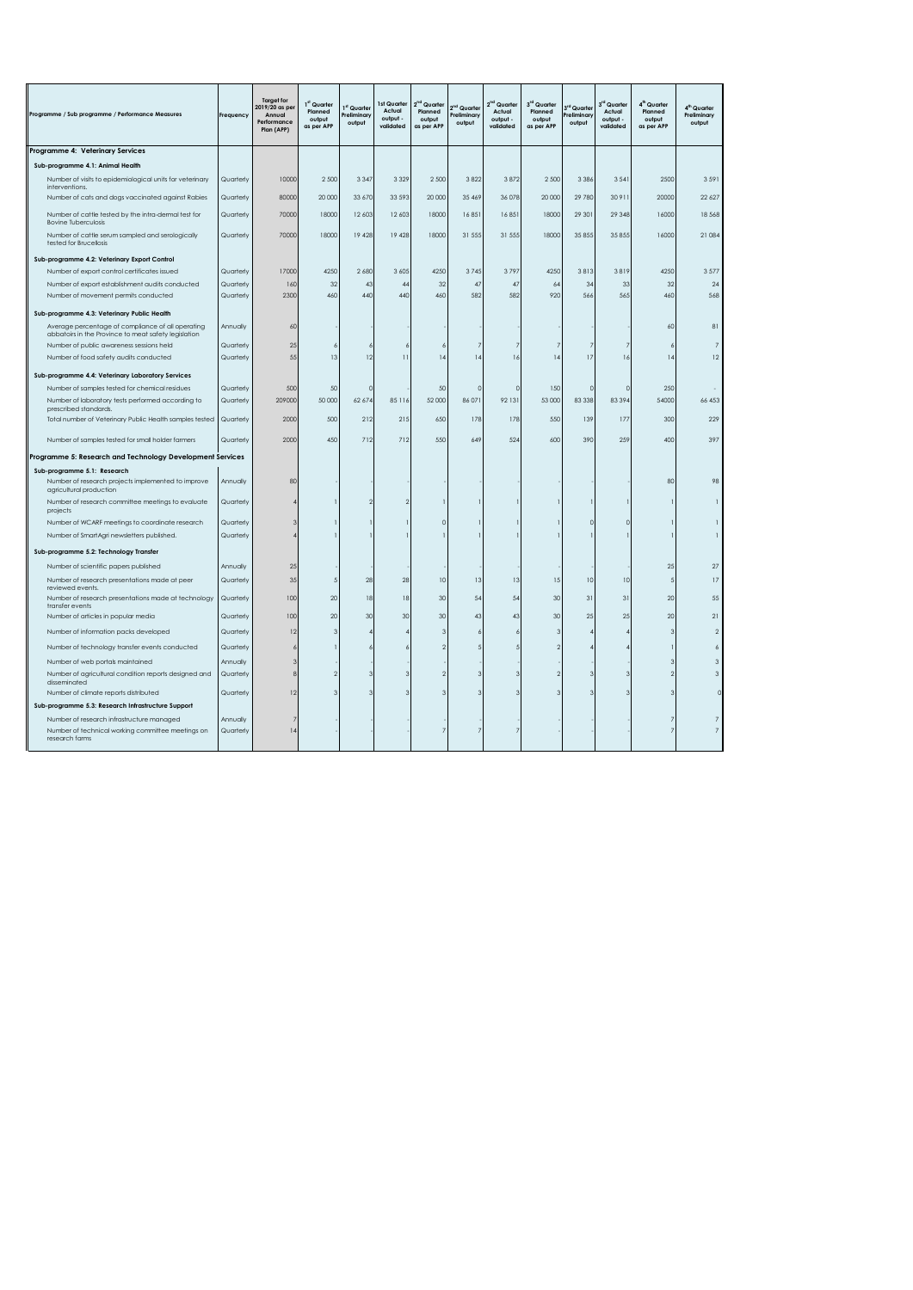| Programme / Sub programme / Performance Measures                                                                 | Frequency             | <b>Target for</b><br>2019/20 as pe<br>Annual<br>Performance<br>Plan (APP) | 1st Quarter<br>Planned<br>output<br>as per APP | 1st Quarter<br>Preliminary<br>output | 1st Quarter<br>Actual<br>output -<br>validated | Quarter<br>Planned<br>output<br>as per APF | i <sup>nd</sup> Quarter<br>Preliminary<br>output | Quarter<br>Actual<br>output -<br>validated | 3 <sup>rd</sup> Quarter<br>Planned<br>output<br>as per APP | 3 <sup>rd</sup> Quarte<br>Preliminan<br>output | 3rd Quarter<br>Actual<br>output -<br>validated | 4 <sup>th</sup> Quarter<br>Planned<br>output<br>as per APP | 4 <sup>th</sup> Quarter<br>Preliminary<br>output |
|------------------------------------------------------------------------------------------------------------------|-----------------------|---------------------------------------------------------------------------|------------------------------------------------|--------------------------------------|------------------------------------------------|--------------------------------------------|--------------------------------------------------|--------------------------------------------|------------------------------------------------------------|------------------------------------------------|------------------------------------------------|------------------------------------------------------------|--------------------------------------------------|
| Programme 4: Veterinary Services                                                                                 |                       |                                                                           |                                                |                                      |                                                |                                            |                                                  |                                            |                                                            |                                                |                                                |                                                            |                                                  |
| Sub-programme 4.1: Animal Health                                                                                 |                       |                                                                           |                                                |                                      |                                                |                                            |                                                  |                                            |                                                            |                                                |                                                |                                                            |                                                  |
| Number of visits to epidemiological units for veterinary                                                         | Quarterly             | 10000                                                                     | 2 500                                          | 3 3 4 7                              | 3 3 2 9                                        | 2500                                       | 3822                                             | 3872                                       | 2 500                                                      | 3 3 8 6                                        | 3 5 4 1                                        | 2500                                                       | 3 5 9 1                                          |
| interventions.                                                                                                   |                       | 80000                                                                     |                                                |                                      |                                                |                                            |                                                  | 36 078                                     |                                                            | 29 780                                         | 30 911                                         | 20000                                                      |                                                  |
| Number of cats and dogs vaccinated against Rabies                                                                | Quarterly             |                                                                           | 20 000                                         | 33 670                               | 33 59 3                                        | 20 000                                     | 35 469                                           |                                            | 20 000                                                     |                                                |                                                |                                                            | 22 6 27                                          |
| Number of cattle tested by the intra-dermal test for<br><b>Bovine Tuberculosis</b>                               | Quarterly             | 70000                                                                     | 18000                                          | 12 603                               | 12 603                                         | 18000                                      | 16851                                            | 16851                                      | 18000                                                      | 29 30 1                                        | 29 348                                         | 16000                                                      | 18 5 68                                          |
| Number of cattle serum sampled and serologically<br>tested for Brucellosis                                       | Quarterly             | 70000                                                                     | 18000                                          | 19 428                               | 19 428                                         | 18000                                      | 31 555                                           | 31 555                                     | 18000                                                      | 35 855                                         | 35 855                                         | 16000                                                      | 21 084                                           |
| Sub-programme 4.2: Veterinary Export Control                                                                     |                       |                                                                           |                                                |                                      |                                                |                                            |                                                  |                                            |                                                            |                                                |                                                |                                                            |                                                  |
| Number of export control certificates issued                                                                     | Quarterly             | 17000                                                                     | 4250                                           | 2 6 8 0                              | 3 6 0 5                                        | 4250                                       | 3745                                             | 3797                                       | 4250                                                       | 3813                                           | 3819                                           | 4250                                                       | 3577                                             |
| Number of export establishment audits conducted                                                                  | Quarterly             | 160                                                                       | 32                                             | 43                                   | 44                                             | 32                                         | 47                                               | 47                                         | 64                                                         | 34                                             | 33                                             | 32                                                         | 24                                               |
| Number of movement permits conducted                                                                             | Quarterly             | 2300                                                                      | 460                                            | 440                                  | 440                                            | 460                                        | 582                                              | 582                                        | 920                                                        | 566                                            | 565                                            | 460                                                        | 568                                              |
| Sub-programme 4.3: Veterinary Public Health                                                                      |                       |                                                                           |                                                |                                      |                                                |                                            |                                                  |                                            |                                                            |                                                |                                                |                                                            |                                                  |
| Average percentage of compliance of all operating<br>abbatoirs in the Province to meat safety legislation        | Annually              | 60                                                                        |                                                |                                      |                                                |                                            |                                                  |                                            |                                                            |                                                |                                                | 60                                                         | 81                                               |
| Number of public awareness sessions held                                                                         | Quarterly             | 25                                                                        | ×                                              |                                      |                                                |                                            | 7                                                |                                            |                                                            |                                                | 7                                              |                                                            | 7                                                |
| Number of food safety audits conducted                                                                           | Quarterly             | 55                                                                        | 13                                             | 12                                   | $\overline{11}$                                | 4                                          | 14                                               | 16                                         | 14                                                         | 17                                             | 16                                             | 14                                                         | 12                                               |
| Sub-programme 4.4: Veterinary Laboratory Services                                                                |                       |                                                                           |                                                |                                      |                                                |                                            |                                                  |                                            |                                                            |                                                |                                                |                                                            |                                                  |
| Number of samples tested for chemical residues                                                                   | Quarterly             | 500                                                                       | 50                                             |                                      |                                                | 50                                         | $\Omega$                                         | $\Omega$                                   | 150                                                        | $\Omega$                                       | $\Omega$                                       | 250                                                        |                                                  |
| Number of laboratory tests performed according to<br>prescribed standards.                                       | Quarterly             | 209000                                                                    | 50 000                                         | 62 67                                | 8511                                           | 52 000                                     | 86 071                                           | 92 131                                     | 53 000                                                     | 83 338                                         | 83 394                                         | 54000                                                      | 66 453                                           |
| Total number of Veterinary Public Health samples tested                                                          | Quarterly             | 2000                                                                      | 500                                            | 212                                  | 215                                            | 650                                        | 178                                              | 178                                        | 550                                                        | 139                                            | 177                                            | 300                                                        | 229                                              |
| Number of samples tested for small holder farmers                                                                | Quarterly             | 2000                                                                      | 450                                            | 712                                  | 712                                            | 550                                        | 649                                              | 524                                        | 600                                                        | 390                                            | 259                                            | 400                                                        | 397                                              |
| Programme 5: Research and Technology Development Services                                                        |                       |                                                                           |                                                |                                      |                                                |                                            |                                                  |                                            |                                                            |                                                |                                                |                                                            |                                                  |
| Sub-programme 5.1: Research                                                                                      |                       |                                                                           |                                                |                                      |                                                |                                            |                                                  |                                            |                                                            |                                                |                                                |                                                            |                                                  |
| Number of research projects implemented to improve<br>agricultural production                                    | Annually              | 80                                                                        |                                                |                                      |                                                |                                            |                                                  |                                            |                                                            |                                                |                                                | 80                                                         | 98                                               |
| Number of research committee meetings to evaluate<br>projects                                                    | Quarterly             |                                                                           |                                                |                                      |                                                |                                            |                                                  |                                            |                                                            |                                                |                                                |                                                            | -1                                               |
| Number of WCARF meetings to coordinate research                                                                  | Quarterly             |                                                                           |                                                |                                      |                                                | $\Omega$                                   |                                                  |                                            |                                                            | $\Omega$                                       | $\Omega$                                       |                                                            |                                                  |
| Number of SmartAgri newsletters published.                                                                       | Quarterly             |                                                                           |                                                |                                      |                                                |                                            |                                                  |                                            |                                                            |                                                |                                                |                                                            |                                                  |
| Sub-programme 5.2: Technology Transfer                                                                           |                       |                                                                           |                                                |                                      |                                                |                                            |                                                  |                                            |                                                            |                                                |                                                |                                                            |                                                  |
| Number of scientific papers published                                                                            | Annually              | 25                                                                        |                                                |                                      |                                                |                                            |                                                  |                                            |                                                            |                                                |                                                | 25                                                         | 27                                               |
| Number of research presentations made at peer<br>reviewed events.                                                | Quarterly             | 35                                                                        |                                                | 28                                   | 28                                             | 10                                         | 13                                               | 13                                         | 15                                                         | 10                                             | 10                                             |                                                            | 17                                               |
| Number of research presentations made at technology<br>transfer events                                           | Quarterly             | 100                                                                       | 20                                             | 18                                   | 18                                             | 30                                         | 54                                               | 54                                         | 30                                                         | 31                                             | 31                                             | 20                                                         | 55                                               |
| Number of articles in popular media                                                                              | Quarterly             | 100                                                                       | 20                                             | 30                                   | 30                                             | 30                                         | 43                                               | 43                                         | 30                                                         | 25                                             | 25                                             | 20                                                         | 21                                               |
| Number of information packs developed                                                                            | Quarterly             | 12                                                                        | $\mathbf{R}$                                   |                                      |                                                | 3                                          | $\overline{a}$                                   |                                            | 3                                                          |                                                |                                                | $\mathcal{R}$                                              | $\overline{2}$                                   |
| Number of technology transfer events conducted                                                                   | Quarterly             |                                                                           |                                                |                                      |                                                | 2                                          | 5                                                |                                            |                                                            |                                                |                                                |                                                            | 6                                                |
| Number of web portals maintained                                                                                 | Annually              |                                                                           |                                                |                                      |                                                |                                            |                                                  |                                            |                                                            |                                                |                                                |                                                            | $\mathbf{3}$                                     |
| Number of agricultural condition reports designed and<br>disseminated                                            | Quarterly             | Я                                                                         |                                                |                                      |                                                | c                                          | 3                                                |                                            | $\mathcal{D}$                                              | 3                                              | 3                                              |                                                            | 3                                                |
| Number of climate reports distributed                                                                            | Quarterly             | 12                                                                        |                                                |                                      |                                                | 3                                          | 3                                                |                                            | з                                                          | 3                                              |                                                |                                                            | $\Omega$                                         |
| Sub-programme 5.3: Research Infrastructure Support                                                               |                       |                                                                           |                                                |                                      |                                                |                                            |                                                  |                                            |                                                            |                                                |                                                |                                                            |                                                  |
| Number of research infrastructure managed<br>Number of technical working committee meetings on<br>research farms | Annually<br>Quarterly | 14                                                                        |                                                |                                      |                                                |                                            |                                                  |                                            |                                                            |                                                |                                                |                                                            | 7                                                |
|                                                                                                                  |                       |                                                                           |                                                |                                      |                                                |                                            |                                                  |                                            |                                                            |                                                |                                                |                                                            |                                                  |